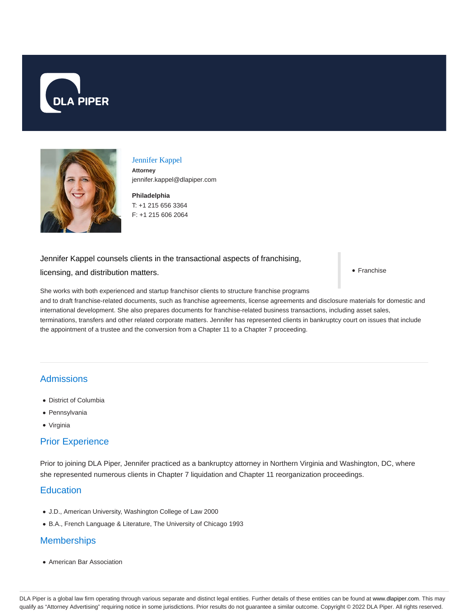



#### Jennifer Kappel

**Attorney** jennifer.kappel@dlapiper.com

**Philadelphia** T: +1 215 656 3364 F: +1 215 606 2064

### Jennifer Kappel counsels clients in the transactional aspects of franchising,

licensing, and distribution matters.

• Franchise

She works with both experienced and startup franchisor clients to structure franchise programs and to draft franchise-related documents, such as franchise agreements, license agreements and disclosure materials for domestic and international development. She also prepares documents for franchise-related business transactions, including asset sales, terminations, transfers and other related corporate matters. Jennifer has represented clients in bankruptcy court on issues that include the appointment of a trustee and the conversion from a Chapter 11 to a Chapter 7 proceeding.

# Admissions

- District of Columbia
- Pennsylvania
- Virginia

## Prior Experience

Prior to joining DLA Piper, Jennifer practiced as a bankruptcy attorney in Northern Virginia and Washington, DC, where she represented numerous clients in Chapter 7 liquidation and Chapter 11 reorganization proceedings.

## **Education**

- J.D., American University, Washington College of Law 2000
- B.A., French Language & Literature, The University of Chicago 1993

### **Memberships**

American Bar Association